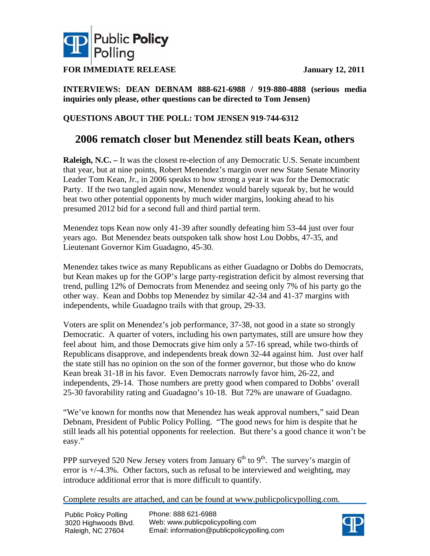

**FOR IMMEDIATE RELEASE** January 12, 2011

**INTERVIEWS: DEAN DEBNAM 888-621-6988 / 919-880-4888 (serious media inquiries only please, other questions can be directed to Tom Jensen)** 

### **QUESTIONS ABOUT THE POLL: TOM JENSEN 919-744-6312**

## **2006 rematch closer but Menendez still beats Kean, others**

**Raleigh, N.C.** – It was the closest re-election of any Democratic U.S. Senate incumbent that year, but at nine points, Robert Menendez's margin over new State Senate Minority Leader Tom Kean, Jr., in 2006 speaks to how strong a year it was for the Democratic Party. If the two tangled again now, Menendez would barely squeak by, but he would beat two other potential opponents by much wider margins, looking ahead to his presumed 2012 bid for a second full and third partial term.

Menendez tops Kean now only 41-39 after soundly defeating him 53-44 just over four years ago. But Menendez beats outspoken talk show host Lou Dobbs, 47-35, and Lieutenant Governor Kim Guadagno, 45-30.

Menendez takes twice as many Republicans as either Guadagno or Dobbs do Democrats, but Kean makes up for the GOP's large party-registration deficit by almost reversing that trend, pulling 12% of Democrats from Menendez and seeing only 7% of his party go the other way. Kean and Dobbs top Menendez by similar 42-34 and 41-37 margins with independents, while Guadagno trails with that group, 29-33.

Voters are split on Menendez's job performance, 37-38, not good in a state so strongly Democratic. A quarter of voters, including his own partymates, still are unsure how they feel about him, and those Democrats give him only a 57-16 spread, while two-thirds of Republicans disapprove, and independents break down 32-44 against him. Just over half the state still has no opinion on the son of the former governor, but those who do know Kean break 31-18 in his favor. Even Democrats narrowly favor him, 26-22, and independents, 29-14. Those numbers are pretty good when compared to Dobbs' overall 25-30 favorability rating and Guadagno's 10-18. But 72% are unaware of Guadagno.

"We've known for months now that Menendez has weak approval numbers," said Dean Debnam, President of Public Policy Polling. "The good news for him is despite that he still leads all his potential opponents for reelection. But there's a good chance it won't be easy."

PPP surveyed 520 New Jersey voters from January  $6<sup>th</sup>$  to  $9<sup>th</sup>$ . The survey's margin of error is +/-4.3%. Other factors, such as refusal to be interviewed and weighting, may introduce additional error that is more difficult to quantify.

Complete results are attached, and can be found at www.publicpolicypolling.com.

| <b>Public Policy Polling</b> | Phone: 888 621-6988                        |
|------------------------------|--------------------------------------------|
| 3020 Highwoods Blvd.         | Web: www.publicpolicypolling.com           |
| Raleigh, NC 27604            | Email: information@publicpolicypolling.com |

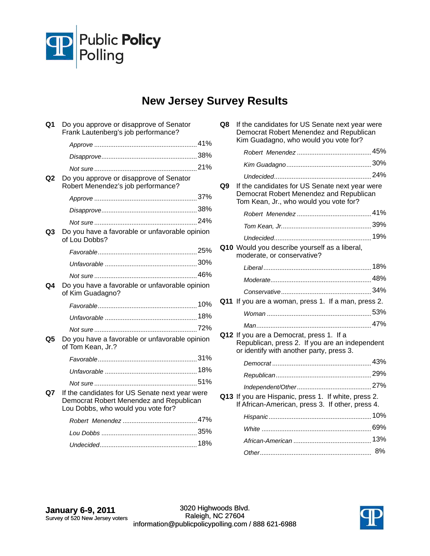

# **New Jersey Survey Results**

| Q1 | Do you approve or disapprove of Senator<br>Frank Lautenberg's job performance?                                                  |  |
|----|---------------------------------------------------------------------------------------------------------------------------------|--|
|    |                                                                                                                                 |  |
|    |                                                                                                                                 |  |
|    |                                                                                                                                 |  |
| Q2 | Do you approve or disapprove of Senator<br>Robert Menendez's job performance?                                                   |  |
|    |                                                                                                                                 |  |
|    |                                                                                                                                 |  |
|    |                                                                                                                                 |  |
| Q3 | Do you have a favorable or unfavorable opinion<br>of Lou Dobbs?                                                                 |  |
|    |                                                                                                                                 |  |
|    |                                                                                                                                 |  |
|    |                                                                                                                                 |  |
| Q4 | Do you have a favorable or unfavorable opinion<br>of Kim Guadagno?                                                              |  |
|    |                                                                                                                                 |  |
|    |                                                                                                                                 |  |
|    |                                                                                                                                 |  |
| Q5 | Do you have a favorable or unfavorable opinion<br>of Tom Kean, Jr.?                                                             |  |
|    |                                                                                                                                 |  |
|    |                                                                                                                                 |  |
|    |                                                                                                                                 |  |
| Q7 | If the candidates for US Senate next year were<br>Democrat Robert Menendez and Republican<br>Lou Dobbs, who would you vote for? |  |
|    |                                                                                                                                 |  |
|    |                                                                                                                                 |  |
|    |                                                                                                                                 |  |
|    |                                                                                                                                 |  |

| Q8   | If the candidates for US Senate next year were<br>Democrat Robert Menendez and Republican<br>Kim Guadagno, who would you vote for?     |  |
|------|----------------------------------------------------------------------------------------------------------------------------------------|--|
|      |                                                                                                                                        |  |
|      |                                                                                                                                        |  |
|      |                                                                                                                                        |  |
| Q9 I | If the candidates for US Senate next year were<br>Democrat Robert Menendez and Republican<br>Tom Kean, Jr., who would you vote for?    |  |
|      |                                                                                                                                        |  |
|      |                                                                                                                                        |  |
|      |                                                                                                                                        |  |
|      | Q10 Would you describe yourself as a liberal,<br>moderate, or conservative?                                                            |  |
|      |                                                                                                                                        |  |
|      |                                                                                                                                        |  |
|      |                                                                                                                                        |  |
|      | Q11 If you are a woman, press 1. If a man, press 2.                                                                                    |  |
|      |                                                                                                                                        |  |
|      |                                                                                                                                        |  |
|      | Q12 If you are a Democrat, press 1. If a<br>Republican, press 2. If you are an independent<br>or identify with another party, press 3. |  |
|      |                                                                                                                                        |  |
|      |                                                                                                                                        |  |
|      |                                                                                                                                        |  |
|      | Q13 If you are Hispanic, press 1. If white, press 2.<br>If African-American, press 3. If other, press 4.                               |  |
|      |                                                                                                                                        |  |
|      |                                                                                                                                        |  |
|      |                                                                                                                                        |  |
|      |                                                                                                                                        |  |

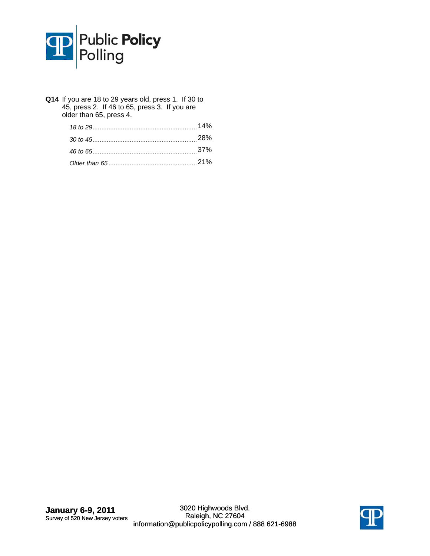

**Q14** If you are 18 to 29 years old, press 1. If 30 to 45, press 2. If 46 to 65, press 3. If you are older than 65, press 4.

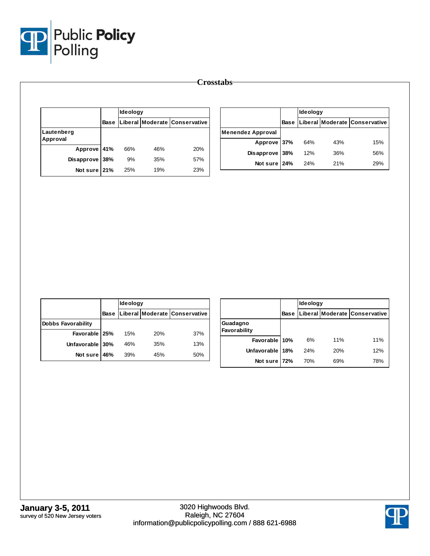

|                |      | Ideology |     |                               |                          | Ideology |     |                                    |
|----------------|------|----------|-----|-------------------------------|--------------------------|----------|-----|------------------------------------|
|                | Base |          |     | Liberal Moderate Conservative |                          |          |     | Base Liberal Moderate Conservative |
| Lautenberg     |      |          |     |                               | <b>Menendez Approval</b> |          |     |                                    |
| Approval       |      |          |     |                               | Approve 37%              | 64%      | 43% | 15%                                |
| Approve 41%    |      | 66%      | 46% | 20%                           | Disapprove 38%           | 12%      | 36% | 56%                                |
| Disapprove 38% |      | 9%       | 35% | 57%                           | Not sure 24%             | 24%      | 21% | 29%                                |
| Not sure 21%   |      | 25%      | 19% | 23%                           |                          |          |     |                                    |

|                           |      | Ideology |            |                               |  |  |
|---------------------------|------|----------|------------|-------------------------------|--|--|
|                           | Base |          |            | Liberal Moderate Conservative |  |  |
| <b>Dobbs Favorability</b> |      |          |            |                               |  |  |
| Favorable 25%             |      | 15%      | <b>20%</b> | 37%                           |  |  |
| Unfavorable 30%           |      | 46%      | 35%        | 13%                           |  |  |
| Not sure                  | 46%  | 39%      | 45%        | 50%                           |  |  |

|                          |             | Ideology |     |                               |  |  |
|--------------------------|-------------|----------|-----|-------------------------------|--|--|
|                          | <b>Base</b> |          |     | Liberal Moderate Conservative |  |  |
| Guadagno<br>Favorability |             |          |     |                               |  |  |
| Favorable 10%            |             | 6%       | 11% | 11%                           |  |  |
| <b>Unfavorable</b>       | 18%         | 24%      | 20% | 12%                           |  |  |
| Not sure 72%             |             | 70%      | 69% | 78%                           |  |  |

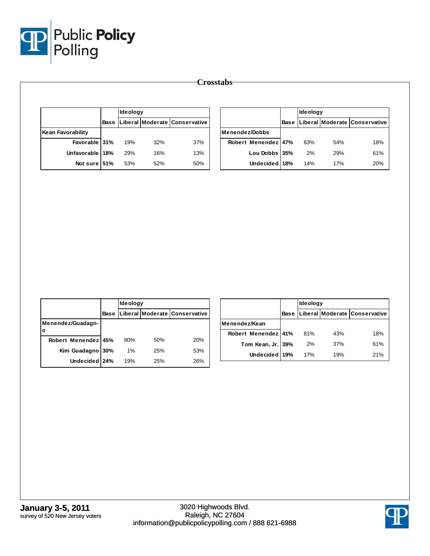

|                   |      | Ideology |     |                               |                       |                     |             | Ideology |     |                               |
|-------------------|------|----------|-----|-------------------------------|-----------------------|---------------------|-------------|----------|-----|-------------------------------|
|                   | Base |          |     | Liberal Moderate Conservative |                       |                     | <b>Base</b> |          |     | Liberal Moderate Conservative |
| Kean Favorability |      |          |     |                               | <b>Menendez/Dobbs</b> |                     |             |          |     |                               |
| Favorable 31%     |      | 19%      | 32% | 37%                           |                       | Robert Menendez 47% |             | 83%      | 54% | 18%                           |
| Unfavorable 18%   |      | 29%      | 16% | 13%                           |                       | Lou Dobbs 35%       |             | 2%       | 29% | 61%                           |
| Not sure 51%      |      | 53%      | 52% | 50%                           |                       | Undecided 18%       |             | 14%      | 17% | 20%                           |

|                     |             |     | Ideology |                               |  |  |  |  |
|---------------------|-------------|-----|----------|-------------------------------|--|--|--|--|
|                     | <b>Base</b> |     |          | Liberal Moderate Conservative |  |  |  |  |
| Menendez/Guadagn-   |             |     |          |                               |  |  |  |  |
| O                   |             |     |          |                               |  |  |  |  |
| Robert Menendez 45% |             | 80% | 50%      | 20%                           |  |  |  |  |
| Kim Guadagno        | 30%         | 1%  | 25%      | 53%                           |  |  |  |  |
| Undecided 24%       |             | 19% | 25%      | 26%                           |  |  |  |  |

|                     |      | Ideology |     |                               |  |  |
|---------------------|------|----------|-----|-------------------------------|--|--|
|                     | Base |          |     | Liberal Moderate Conservative |  |  |
| Menendez/Kean       |      |          |     |                               |  |  |
| Robert Menendez 41% |      | 81%      | 43% | 18%                           |  |  |
| Tom Kean, Jr. 39%   |      | 2%       | 37% | 61%                           |  |  |
| Undecided 19%       |      | 17%      | 19% | 21%                           |  |  |

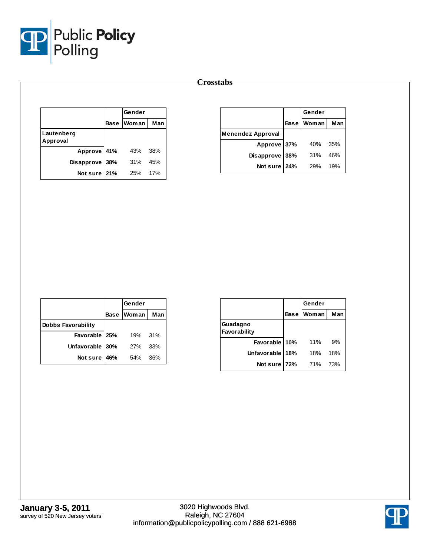

#### **Crosstabs**

|                        |      | Gender       |     |  |
|------------------------|------|--------------|-----|--|
|                        | Base | <b>Woman</b> | Man |  |
| Lautenberg<br>Approval |      |              |     |  |
| Approve 41%            |      | 43%          | 38% |  |
| Disapprove 38%         |      | 31%          | 45% |  |
| Notsure 21%            |      | 25%          | 17% |  |

|                          |             | Gender     |     |
|--------------------------|-------------|------------|-----|
|                          | <b>Base</b> | Woman      | Man |
| <b>Menendez Approval</b> |             |            |     |
| Approve 37%              |             | 40%        | 35% |
| Disapprove               | 38%         | 31%        | 46% |
| Not sure 24%             |             | <b>29%</b> | 19% |

|                           | Gender     |     |
|---------------------------|------------|-----|
|                           | Base Woman | Man |
| <b>Dobbs Favorability</b> |            |     |
| Favorable   25%           | 19%        | 31% |
| Unfavorable 30%           | 27%        | 33% |
| Not sure 46%              | 54%        | 36% |

|                          |             | Gender       |     |
|--------------------------|-------------|--------------|-----|
|                          | <b>Base</b> | <b>Woman</b> | Man |
| Guadagno<br>Favorability |             |              |     |
| Favorable 10%            |             | 11%          | 9%  |
| Unfavorable              | <b>18%</b>  | 18%          | 18% |
| Not sure 72%             |             | 71%          | 73% |

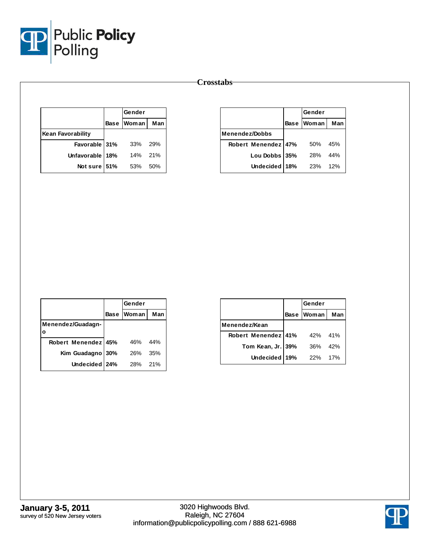

### **Crosstabs**

|                          | Gender     |     |
|--------------------------|------------|-----|
|                          | Base Woman | Man |
| <b>Kean Favorability</b> |            |     |
| Favorable 31%            | 33%        | 29% |
| Unfavorable 18%          | 14% 21%    |     |
| Not sure 51%             | 53%        | 50% |

|                       |             | Gender     |     |
|-----------------------|-------------|------------|-----|
|                       | <b>Base</b> | Woman      | Man |
| <b>Menendez/Dobbs</b> |             |            |     |
| Robert Menendez 47%   |             | 50%        | 45% |
| Lou Dobbs 35%         |             | <b>28%</b> | 44% |
| Undecided   18%       |             | 23%        | 12% |

|                     |             | Gender       |     |
|---------------------|-------------|--------------|-----|
|                     | <b>Base</b> | <b>Woman</b> | Man |
| Menendez/Guadagn-   |             |              |     |
| Robert Menendez 45% |             | 46%          | 44% |
| Kim Guadagno 30%    |             | 26%          | 35% |
| Undecided   24%     |             | <b>28%</b>   | 21% |

|                     |             | Gender  |     |
|---------------------|-------------|---------|-----|
|                     | <b>Base</b> | Woman I | Man |
| Menendez/Kean       |             |         |     |
| Robert Menendez 41% |             | 42%     | 41% |
| Tom Kean, Jr. 39%   |             | 36%     | 42% |
| <b>Undecided</b>    | 19%         | 22%     | 17% |

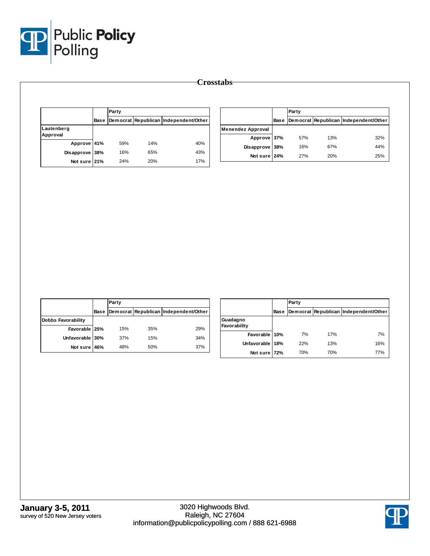

|                        |      | Party |     |                                       |                      |
|------------------------|------|-------|-----|---------------------------------------|----------------------|
|                        | Base |       |     | Democrat Republican Independent/Other |                      |
| Lautenberg<br>Approval |      |       |     |                                       | <b>Menendez Appr</b> |
| Approve 41%            |      | 59%   | 14% | 40%                                   |                      |
| Disapprove 38%         |      | 16%   | 65% | 43%                                   |                      |
| Not sure 21%           |      | 24%   | 20% | 17%                                   |                      |

**Crosstabs**

|                          |             | Party |     |                                       |
|--------------------------|-------------|-------|-----|---------------------------------------|
|                          | <b>Base</b> |       |     | Democrat Republican Independent/Other |
| <b>Menendez Approval</b> |             |       |     |                                       |
| Approve 37%              |             | 57%   | 13% | 32%                                   |
| Disapprove 38%           |             | 16%   | 67% | 44%                                   |
| Not sure 24%             |             | 27%   | 20% | 25%                                   |

|                           |      | Party |     |                                       |
|---------------------------|------|-------|-----|---------------------------------------|
|                           | Base |       |     | Democrat Republican Independent/Other |
| <b>Dobbs Favorability</b> |      |       |     |                                       |
| Favorable 25%             |      | 15%   | 35% | 29%                                   |
| Unfavorable 30%           |      | 37%   | 15% | 34%                                   |
| Not sure                  | 46%  | 48%   | 50% | 37%                                   |

|                          |      | Party |     |                                       |
|--------------------------|------|-------|-----|---------------------------------------|
|                          | Base |       |     | Democrat Republican Independent/Other |
| Guadagno<br>Favorability |      |       |     |                                       |
| Favorable 10%            |      | 7%    | 17% | 7%                                    |
| Unfavorable 18%          |      | 22%   | 13% | 16%                                   |
| Not sure 72%             |      | 70%   | 70% | 77%                                   |

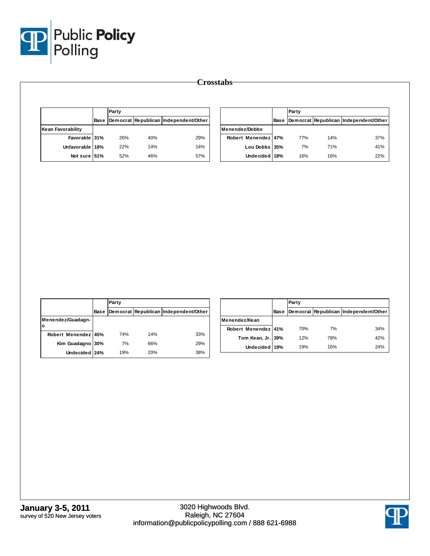

|                                         |             | Party        |            |                                       |                     | Party |     |                                            |
|-----------------------------------------|-------------|--------------|------------|---------------------------------------|---------------------|-------|-----|--------------------------------------------|
|                                         | <b>Base</b> |              |            | Democrat Republican Independent/Other |                     |       |     | Base Democrat Republican Independent/Other |
| Kean Favorability                       |             |              |            |                                       | Menendez/Dobbs      |       |     |                                            |
| Favorable 31%                           |             | 26%          | 40%        | 29%                                   | Robert Menendez 47% | 77%   | 14% | 37%                                        |
| Unfavorable 18%                         |             | 22%          | 14%        | 14%                                   | Lou Dobbs 35%       | 7%    | 71% | 41%                                        |
| Not sure 51%                            |             | 52%          | 46%        | 57%                                   | Undecided 18%       | 16%   | 16% | 22%                                        |
|                                         |             |              |            |                                       |                     |       |     |                                            |
|                                         |             |              |            |                                       |                     |       |     |                                            |
|                                         |             | Party        |            |                                       |                     | Party |     |                                            |
|                                         | Base        |              |            | Democrat Republican Independent/Other |                     |       |     | Base Democrat Republican Independent/Other |
| Menendez/Guadagn-                       |             |              |            |                                       | Menendez/Kean       |       |     |                                            |
| $\mathbf{o}$                            |             |              |            |                                       | Robert Menendez 41% | 70%   | 7%  | 34%                                        |
| Robert Menendez 45%<br>Kim Guadagno 30% |             | 74%<br>$7\%$ | 14%<br>66% | 33%<br>29%                            | Tom Kean, Jr. 39%   | 12%   | 78% | 42%                                        |
|                                         |             |              |            |                                       |                     |       |     |                                            |

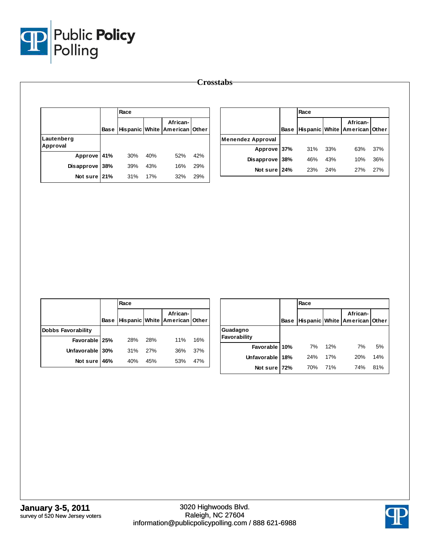

|                   |             | Race |     |                                           |     |                          |             | Race |     |                                           |     |
|-------------------|-------------|------|-----|-------------------------------------------|-----|--------------------------|-------------|------|-----|-------------------------------------------|-----|
|                   | <b>Base</b> |      |     | African-<br>Hispanic White American Other |     |                          | <b>Base</b> |      |     | African-<br>Hispanic White American Other |     |
| Lautenberg        |             |      |     |                                           |     | <b>Menendez Approval</b> |             |      |     |                                           |     |
| Approval          |             |      |     |                                           |     | Approve 37%              |             | 31%  | 33% | 63%                                       | 37% |
| Approve 41%       |             | 30%  | 40% | 52%                                       | 42% | <b>Disapprove</b>        | 38%         | 46%  | 43% | 10%                                       | 36% |
| <b>Disapprove</b> | 38%         | 39%  | 43% | 16%                                       | 29% | Not sure 24%             |             | 23%  | 24% | 27%                                       | 27% |
| Not sure 21%      |             | 31%  | 17% | 32%                                       | 29% |                          |             |      |     |                                           |     |

|                           |      | Race |     |                                           |     |
|---------------------------|------|------|-----|-------------------------------------------|-----|
|                           | Base |      |     | African-<br>Hispanic White American Other |     |
| <b>Dobbs Favorability</b> |      |      |     |                                           |     |
| Favorable   25%           |      | 28%  | 28% | 11%                                       | 16% |
| Unfavorable 30%           |      | 31%  | 27% | 36%                                       | 37% |
| Not sure                  | 46%  | 40%  | 45% | 53%                                       | 47% |

|                          |             | Race |     |                                           |     |  |  |  |  |
|--------------------------|-------------|------|-----|-------------------------------------------|-----|--|--|--|--|
|                          | <b>Base</b> |      |     | African-<br>Hispanic White American Other |     |  |  |  |  |
| Guadagno<br>Favorability |             |      |     |                                           |     |  |  |  |  |
| Favorable 10%            |             | 7%   | 12% | 7%                                        | 5%  |  |  |  |  |
| <b>Unfavorable</b>       | 18%         | 24%  | 17% | 20%                                       | 14% |  |  |  |  |
| Not sure 72%             |             | 70%  | 71% | 74%                                       | 81% |  |  |  |  |

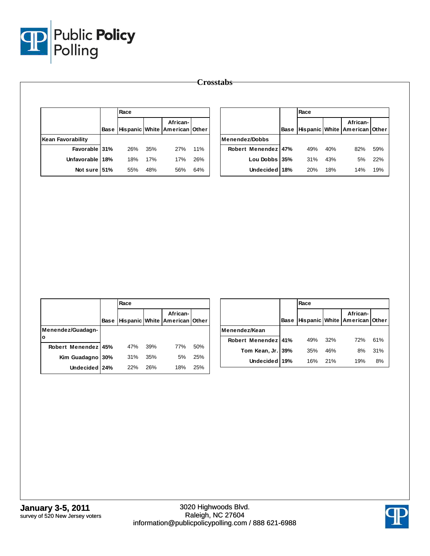

|                   |      |     |                                                |     | Crosstabs      |                     |      |     |                                                |     |
|-------------------|------|-----|------------------------------------------------|-----|----------------|---------------------|------|-----|------------------------------------------------|-----|
|                   | Race |     |                                                |     |                |                     | Race |     |                                                |     |
|                   |      |     | African-<br>Base Hispanic White American Other |     |                |                     |      |     | African-<br>Base Hispanic White American Other |     |
| Kean Favorability |      |     |                                                |     | Menendez/Dobbs |                     |      |     |                                                |     |
| Favorable 31%     | 26%  | 35% | 27%                                            | 11% |                | Robert Menendez 47% | 49%  | 40% | 82%                                            | 59% |
| Unfavorable 18%   | 18%  | 17% | 17%                                            | 26% |                | Lou Dobbs 35%       | 31%  | 43% | 5%                                             | 22% |
| Not sure 51%      | 55%  | 48% | 56%                                            | 64% |                | Undecided 18%       | 20%  | 18% | 14%                                            | 19% |

|                        |      | Race |     |                                           |     |
|------------------------|------|------|-----|-------------------------------------------|-----|
|                        | Base |      |     | African-<br>Hispanic White American Other |     |
| Menendez/Guadagn-<br>o |      |      |     |                                           |     |
| Robert Menendez 45%    |      | 47%  | 39% | 77%                                       | 50% |
| Kim Guadagno           | 30%  | 31%  | 35% | 5%                                        | 25% |
| Undecided 24%          |      | 22%  | 26% | 18%                                       | 25% |

|                     |             | Race |     |                                           |     |
|---------------------|-------------|------|-----|-------------------------------------------|-----|
|                     | <b>Base</b> |      |     | African-<br>Hispanic White American Other |     |
| Menendez/Kean       |             |      |     |                                           |     |
| Robert Menendez 41% |             | 49%  | 32% | 72%                                       | 61% |
| Tom Kean, Jr. 39%   |             | 35%  | 46% | 8%                                        | 31% |
| Undecided 19%       |             | 16%  | 21% | 19%                                       | 8%  |

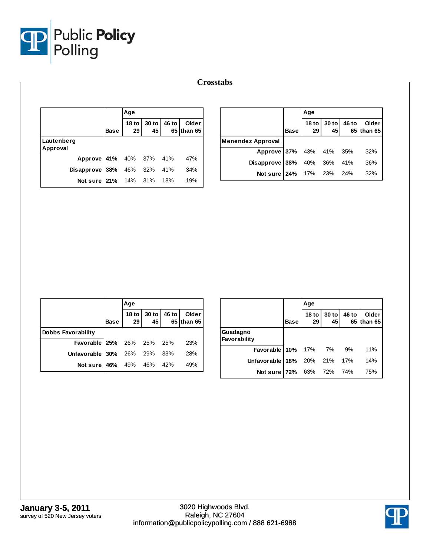

|                        |      | Age                    |             |       |                     |                                  |             | Age                    |             |            |                     |
|------------------------|------|------------------------|-------------|-------|---------------------|----------------------------------|-------------|------------------------|-------------|------------|---------------------|
|                        | Base | 18 <sub>to</sub><br>29 | 30 to<br>45 | 46 to | Older<br>65 than 65 |                                  | <b>Base</b> | 18 <sub>to</sub><br>29 | 30 to<br>45 | 46 to      | Older<br>65 than 65 |
| Lautenberg<br>Approval |      |                        |             |       |                     | <b>Menendez Approval</b>         |             |                        |             |            |                     |
| Approve 41%            |      | 40%                    | 37%         | 41%   | 47%                 | Approve 37%<br><b>Disapprove</b> | 38%         | 43%<br>40%             | 41%<br>36%  | 35%<br>41% | 32%<br>36%          |
| Disapprove 38%         |      | 46%                    | 32%         | 41%   | 34%                 | Not sure 24%                     |             | 17%                    | 23%         | 24%        | 32%                 |
| Not sure $21%$         |      | 14%                    | 31%         | 18%   | 19%                 |                                  |             |                        |             |            |                     |

|                             |      | Age               |                                                      |       |                     |
|-----------------------------|------|-------------------|------------------------------------------------------|-------|---------------------|
|                             | Base | 18 to $ $<br>29 l | $\begin{array}{c c} 30 \text{ to} \\ 45 \end{array}$ | 46 to | Older<br>65 than 65 |
| <b>Dobbs Favorability</b>   |      |                   |                                                      |       |                     |
| Favorable 25% 26% 25% 25%   |      |                   |                                                      |       | 23%                 |
| Unfavorable 30% 26% 29% 33% |      |                   |                                                      |       | 28%                 |
| Not sure   46% 49% 46% 42%  |      |                   |                                                      |       | 49%                 |

|                             |             | Age                    |             |       |                     |  |  |
|-----------------------------|-------------|------------------------|-------------|-------|---------------------|--|--|
|                             | <b>Base</b> | 18 <sub>to</sub><br>29 | 30 to<br>45 | 46 to | Older<br>65 than 65 |  |  |
| Guadagno<br>Favorability    |             |                        |             |       |                     |  |  |
| <b>Favorable 10%</b> 17% 7% |             |                        |             | 9%    | 11%                 |  |  |
| Unfavorable 18%             |             | 20% 21%                |             | 17%   | 14%                 |  |  |
| Not sure 72%                |             | 63% 72%                |             | 74%   | 75%                 |  |  |